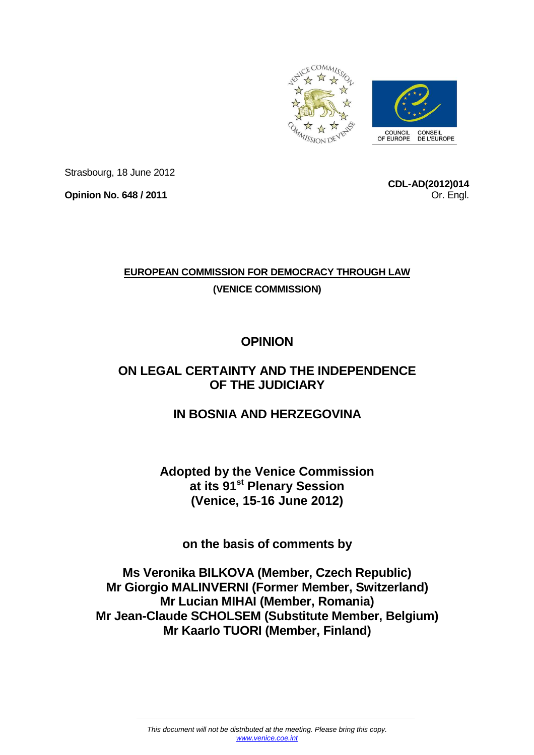

Strasbourg, 18 June 2012

**Opinion No. 648 / 2011** 

**CDL-AD(2012)014** Or. Engl.

## **EUROPEAN COMMISSION FOR DEMOCRACY THROUGH LAW (VENICE COMMISSION)**

# **OPINION**

# **ON LEGAL CERTAINTY AND THE INDEPENDENCE OF THE JUDICIARY**

# **IN BOSNIA AND HERZEGOVINA**

## **Adopted by the Venice Commission at its 91st Plenary Session (Venice, 15-16 June 2012)**

**on the basis of comments by** 

## **Ms Veronika BILKOVA (Member, Czech Republic) Mr Giorgio MALINVERNI (Former Member, Switzerland) Mr Lucian MIHAI (Member, Romania) Mr Jean-Claude SCHOLSEM (Substitute Member, Belgium) Mr Kaarlo TUORI (Member, Finland)**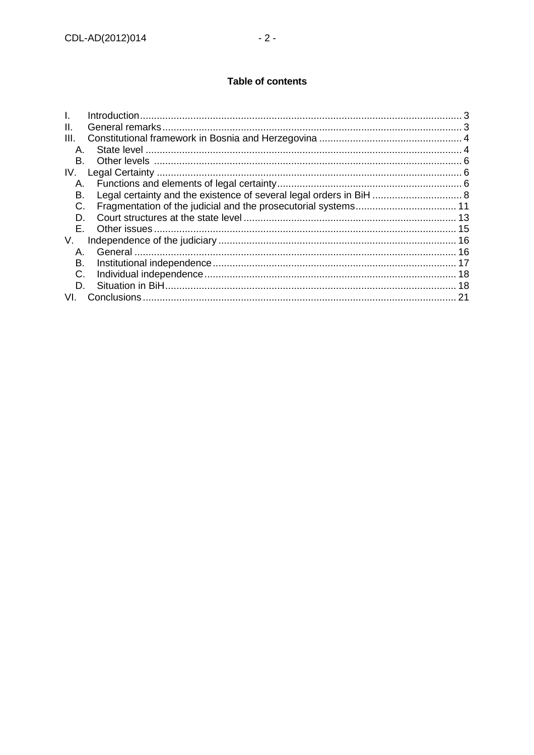## **Table of contents**

| Ш.   |                                                                     |    |
|------|---------------------------------------------------------------------|----|
| III. |                                                                     |    |
| Α.   |                                                                     |    |
| В.   |                                                                     |    |
| IV.  |                                                                     |    |
| А.   |                                                                     |    |
| В.   | Legal certainty and the existence of several legal orders in BiH  8 |    |
| C.   |                                                                     |    |
| D.   |                                                                     |    |
| F.   |                                                                     |    |
| V.   |                                                                     |    |
| А.   |                                                                     |    |
| B.   |                                                                     |    |
| C.   |                                                                     |    |
| D.   |                                                                     |    |
| VL.  |                                                                     | 21 |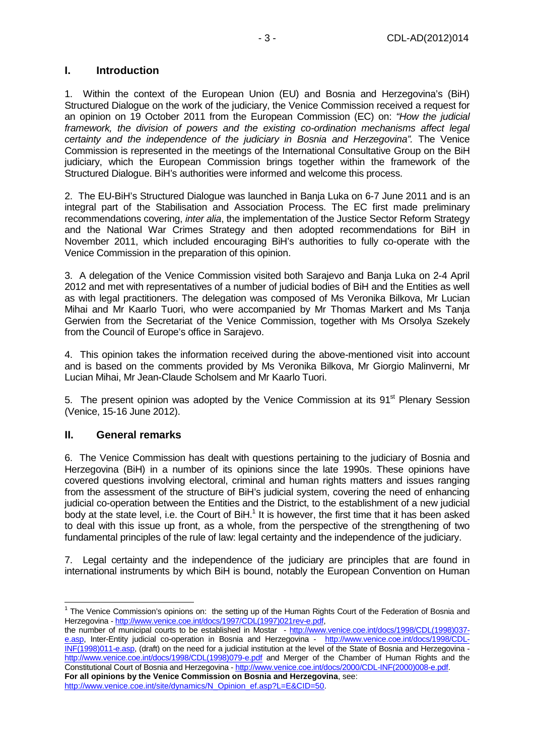### **I. Introduction**

1. Within the context of the European Union (EU) and Bosnia and Herzegovina's (BiH) Structured Dialogue on the work of the judiciary, the Venice Commission received a request for an opinion on 19 October 2011 from the European Commission (EC) on: "How the judicial framework, the division of powers and the existing co-ordination mechanisms affect legal certainty and the independence of the judiciary in Bosnia and Herzegovina". The Venice Commission is represented in the meetings of the International Consultative Group on the BiH judiciary, which the European Commission brings together within the framework of the Structured Dialogue. BiH's authorities were informed and welcome this process.

2. The EU-BiH's Structured Dialogue was launched in Banja Luka on 6-7 June 2011 and is an integral part of the Stabilisation and Association Process. The EC first made preliminary recommendations covering, *inter alia*, the implementation of the Justice Sector Reform Strategy and the National War Crimes Strategy and then adopted recommendations for BiH in November 2011, which included encouraging BiH's authorities to fully co-operate with the Venice Commission in the preparation of this opinion.

3. A delegation of the Venice Commission visited both Sarajevo and Banja Luka on 2-4 April 2012 and met with representatives of a number of judicial bodies of BiH and the Entities as well as with legal practitioners. The delegation was composed of Ms Veronika Bilkova, Mr Lucian Mihai and Mr Kaarlo Tuori, who were accompanied by Mr Thomas Markert and Ms Tanja Gerwien from the Secretariat of the Venice Commission, together with Ms Orsolya Szekely from the Council of Europe's office in Sarajevo.

4. This opinion takes the information received during the above-mentioned visit into account and is based on the comments provided by Ms Veronika Bilkova, Mr Giorgio Malinverni, Mr Lucian Mihai, Mr Jean-Claude Scholsem and Mr Kaarlo Tuori.

5. The present opinion was adopted by the Venice Commission at its 91<sup>st</sup> Plenary Session (Venice, 15-16 June 2012).

#### **II. General remarks**

6. The Venice Commission has dealt with questions pertaining to the judiciary of Bosnia and Herzegovina (BiH) in a number of its opinions since the late 1990s. These opinions have covered questions involving electoral, criminal and human rights matters and issues ranging from the assessment of the structure of BiH's judicial system, covering the need of enhancing judicial co-operation between the Entities and the District, to the establishment of a new judicial body at the state level, i.e. the Court of BiH.<sup>1</sup> It is however, the first time that it has been asked to deal with this issue up front, as a whole, from the perspective of the strengthening of two fundamental principles of the rule of law: legal certainty and the independence of the judiciary.

7. Legal certainty and the independence of the judiciary are principles that are found in international instruments by which BiH is bound, notably the European Convention on Human

 $\overline{a}$ <sup>1</sup> The Venice Commission's opinions on: the setting up of the Human Rights Court of the Federation of Bosnia and Herzegovina - http://www.venice.coe.int/docs/1997/CDL(1997)021rev-e.pdf,

the number of municipal courts to be established in Mostar - http://www.venice.coe.int/docs/1998/CDL(1998)037 e.asp, Inter-Entity judicial co-operation in Bosnia and Herzegovina - http://www.venice.coe.int/docs/1998/CDL-INF(1998)011-e.asp, (draft) on the need for a judicial institution at the level of the State of Bosnia and Herzegovina http://www.venice.coe.int/docs/1998/CDL(1998)079-e.pdf and Merger of the Chamber of Human Rights and the Constitutional Court of Bosnia and Herzegovina - http://www.venice.coe.int/docs/2000/CDL-INF(2000)008-e.pdf. **For all opinions by the Venice Commission on Bosnia and Herzegovina**, see: http://www.venice.coe.int/site/dynamics/N\_Opinion\_ef.asp?L=E&CID=50.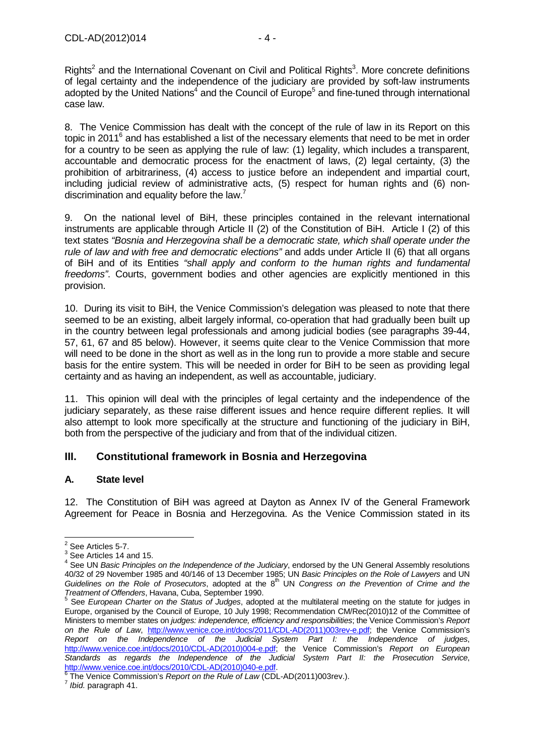Rights<sup>2</sup> and the International Covenant on Civil and Political Rights<sup>3</sup>. More concrete definitions of legal certainty and the independence of the judiciary are provided by soft-law instruments adopted by the United Nations<sup>4</sup> and the Council of Europe<sup>5</sup> and fine-tuned through international case law.

8. The Venice Commission has dealt with the concept of the rule of law in its Report on this topic in 2011<sup>6</sup> and has established a list of the necessary elements that need to be met in order for a country to be seen as applying the rule of law: (1) legality, which includes a transparent, accountable and democratic process for the enactment of laws, (2) legal certainty, (3) the prohibition of arbitrariness, (4) access to justice before an independent and impartial court, including judicial review of administrative acts, (5) respect for human rights and (6) nondiscrimination and equality before the law. $<sup>7</sup>$ </sup>

9. On the national level of BiH, these principles contained in the relevant international instruments are applicable through Article II (2) of the Constitution of BiH. Article I (2) of this text states "Bosnia and Herzegovina shall be a democratic state, which shall operate under the rule of law and with free and democratic elections" and adds under Article II (6) that all organs of BiH and of its Entities "shall apply and conform to the human rights and fundamental freedoms". Courts, government bodies and other agencies are explicitly mentioned in this provision.

10. During its visit to BiH, the Venice Commission's delegation was pleased to note that there seemed to be an existing, albeit largely informal, co-operation that had gradually been built up in the country between legal professionals and among judicial bodies (see paragraphs 39-44, 57, 61, 67 and 85 below). However, it seems quite clear to the Venice Commission that more will need to be done in the short as well as in the long run to provide a more stable and secure basis for the entire system. This will be needed in order for BiH to be seen as providing legal certainty and as having an independent, as well as accountable, judiciary.

11. This opinion will deal with the principles of legal certainty and the independence of the judiciary separately, as these raise different issues and hence require different replies. It will also attempt to look more specifically at the structure and functioning of the judiciary in BiH, both from the perspective of the judiciary and from that of the individual citizen.

## **III. Constitutional framework in Bosnia and Herzegovina**

## **A. State level**

12. The Constitution of BiH was agreed at Dayton as Annex IV of the General Framework Agreement for Peace in Bosnia and Herzegovina. As the Venice Commission stated in its

 $2^2$  See Articles 5-7.

 $3$  See Articles 14 and 15.

See UN Basic Principles on the Independence of the Judiciary, endorsed by the UN General Assembly resolutions 40/32 of 29 November 1985 and 40/146 of 13 December 1985; UN Basic Principles on the Role of Lawyers and UN Guidelines on the Role of Prosecutors, adopted at the  $8<sup>th</sup>$  UN Congress on the Prevention of Crime and the

*Treatment of Offenders*, Havana, Cuba, September 1990.<br><sup>5</sup> See *European Charter on the Status of Judges*, adopted at the multilateral meeting on the statute for judges in Europe, organised by the Council of Europe, 10 July 1998; Recommendation CM/Rec(2010)12 of the Committee of Ministers to member states on judges: independence, efficiency and responsibilities; the Venice Commission's Report on the Rule of Law, http://www.venice.coe.int/docs/2011/CDL-AD(2011)003rev-e.pdf; the Venice Commission's Report on the Independence of the Judicial System Part I: the Independence of judges, http://www.venice.coe.int/docs/2010/CDL-AD(2010)004-e.pdf; the Venice Commission's Report on European Standards as regards the Independence of the Judicial System Part II: the Prosecution Service, http://www.venice.coe.int/docs/2010/CDL-AD(2010)040-e.pdf.<br><sup>6</sup> The Venice Commission's *Bonert on the Bule of Law (C*DL

The Venice Commission's Report on the Rule of Law (CDL-AD(2011)003rev.).

<sup>&</sup>lt;sup>7</sup> Ibid. paragraph 41.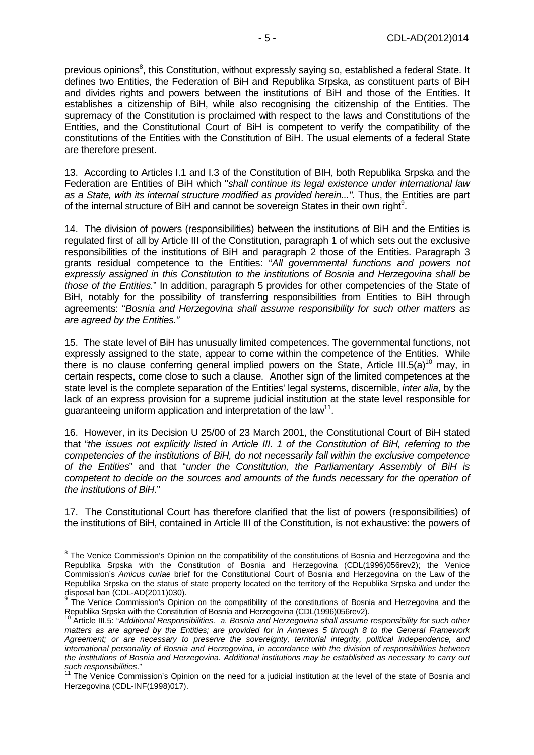previous opinions<sup>8</sup>, this Constitution, without expressly saying so, established a federal State. It defines two Entities, the Federation of BiH and Republika Srpska, as constituent parts of BiH and divides rights and powers between the institutions of BiH and those of the Entities. It establishes a citizenship of BiH, while also recognising the citizenship of the Entities. The supremacy of the Constitution is proclaimed with respect to the laws and Constitutions of the Entities, and the Constitutional Court of BiH is competent to verify the compatibility of the constitutions of the Entities with the Constitution of BiH. The usual elements of a federal State are therefore present.

13. According to Articles I.1 and I.3 of the Constitution of BIH, both Republika Srpska and the Federation are Entities of BiH which "shall continue its legal existence under international law as a State, with its internal structure modified as provided herein...". Thus, the Entities are part of the internal structure of BiH and cannot be sovereign States in their own right<sup>9</sup>.

14. The division of powers (responsibilities) between the institutions of BiH and the Entities is regulated first of all by Article III of the Constitution, paragraph 1 of which sets out the exclusive responsibilities of the institutions of BiH and paragraph 2 those of the Entities. Paragraph 3 grants residual competence to the Entities: "All governmental functions and powers not expressly assigned in this Constitution to the institutions of Bosnia and Herzegovina shall be those of the Entities." In addition, paragraph 5 provides for other competencies of the State of BiH, notably for the possibility of transferring responsibilities from Entities to BiH through agreements: "Bosnia and Herzegovina shall assume responsibility for such other matters as are agreed by the Entities."

15. The state level of BiH has unusually limited competences. The governmental functions, not expressly assigned to the state, appear to come within the competence of the Entities. While there is no clause conferring general implied powers on the State, Article III.5(a)<sup>10</sup> may, in certain respects, come close to such a clause. Another sign of the limited competences at the state level is the complete separation of the Entities' legal systems, discernible, *inter alia*, by the lack of an express provision for a supreme judicial institution at the state level responsible for guaranteeing uniform application and interpretation of the law<sup>11</sup>.

16. However, in its Decision U 25/00 of 23 March 2001, the Constitutional Court of BiH stated that "the issues not explicitly listed in Article III. 1 of the Constitution of BiH, referring to the competencies of the institutions of BiH, do not necessarily fall within the exclusive competence of the Entities" and that "under the Constitution, the Parliamentary Assembly of BiH is competent to decide on the sources and amounts of the funds necessary for the operation of the institutions of BiH."

17. The Constitutional Court has therefore clarified that the list of powers (responsibilities) of the institutions of BiH, contained in Article III of the Constitution, is not exhaustive: the powers of

 8 The Venice Commission's Opinion on the compatibility of the constitutions of Bosnia and Herzegovina and the Republika Srpska with the Constitution of Bosnia and Herzegovina (CDL(1996)056rev2); the Venice Commission's Amicus curiae brief for the Constitutional Court of Bosnia and Herzegovina on the Law of the Republika Srpska on the status of state property located on the territory of the Republika Srpska and under the

disposal ban (CDL-AD(2011)030).<br><sup>9</sup> The Venice Commission's Opinion on the compatibility of the constitutions of Bosnia and Herzegovina and the Republika Srpska with the Constitution of Bosnia and Herzegovina (CDL(1996)056rev2).

Article III.5: "Additional Responsibilities. a. Bosnia and Herzegovina shall assume responsibility for such other matters as are agreed by the Entities; are provided for in Annexes 5 through 8 to the General Framework Agreement; or are necessary to preserve the sovereignty, territorial integrity, political independence, and international personality of Bosnia and Herzegovina, in accordance with the division of responsibilities between the institutions of Bosnia and Herzegovina. Additional institutions may be established as necessary to carry out such responsibilities."

 $11$  The Venice Commission's Opinion on the need for a judicial institution at the level of the state of Bosnia and Herzegovina (CDL-INF(1998)017).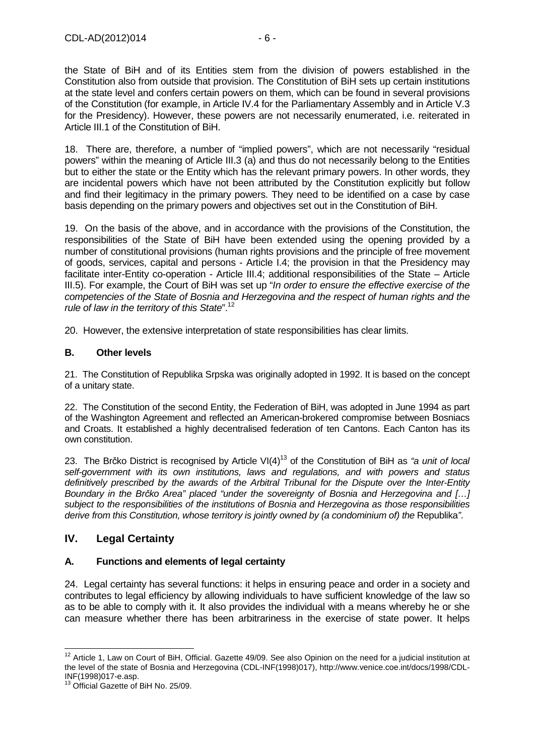the State of BiH and of its Entities stem from the division of powers established in the Constitution also from outside that provision. The Constitution of BiH sets up certain institutions at the state level and confers certain powers on them, which can be found in several provisions of the Constitution (for example, in Article IV.4 for the Parliamentary Assembly and in Article V.3 for the Presidency). However, these powers are not necessarily enumerated, i.e. reiterated in Article III.1 of the Constitution of BiH.

18. There are, therefore, a number of "implied powers", which are not necessarily "residual powers" within the meaning of Article III.3 (a) and thus do not necessarily belong to the Entities but to either the state or the Entity which has the relevant primary powers. In other words, they are incidental powers which have not been attributed by the Constitution explicitly but follow and find their legitimacy in the primary powers. They need to be identified on a case by case basis depending on the primary powers and objectives set out in the Constitution of BiH.

19. On the basis of the above, and in accordance with the provisions of the Constitution, the responsibilities of the State of BiH have been extended using the opening provided by a number of constitutional provisions (human rights provisions and the principle of free movement of goods, services, capital and persons - Article I.4; the provision in that the Presidency may facilitate inter-Entity co-operation - Article III.4; additional responsibilities of the State – Article III.5). For example, the Court of BiH was set up "In order to ensure the effective exercise of the competencies of the State of Bosnia and Herzegovina and the respect of human rights and the rule of law in the territory of this State".<sup>12</sup>

20. However, the extensive interpretation of state responsibilities has clear limits.

#### **B. Other levels**

21. The Constitution of Republika Srpska was originally adopted in 1992. It is based on the concept of a unitary state.

22. The Constitution of the second Entity, the Federation of BiH, was adopted in June 1994 as part of the Washington Agreement and reflected an American-brokered compromise between Bosniacs and Croats. It established a highly decentralised federation of ten Cantons. Each Canton has its own constitution.

23. The Brčko District is recognised by Article VI(4)<sup>13</sup> of the Constitution of BiH as "a unit of local self-government with its own institutions, laws and regulations, and with powers and status definitively prescribed by the awards of the Arbitral Tribunal for the Dispute over the Inter-Entity Boundary in the Br*č*ko Area" placed "under the sovereignty of Bosnia and Herzegovina and […] subject to the responsibilities of the institutions of Bosnia and Herzegovina as those responsibilities derive from this Constitution, whose territory is jointly owned by (a condominium of) the Republika".

## **IV. Legal Certainty**

## **A. Functions and elements of legal certainty**

24. Legal certainty has several functions: it helps in ensuring peace and order in a society and contributes to legal efficiency by allowing individuals to have sufficient knowledge of the law so as to be able to comply with it. It also provides the individual with a means whereby he or she can measure whether there has been arbitrariness in the exercise of state power. It helps

 $\overline{a}$  $12$  Article 1, Law on Court of BiH, Official. Gazette 49/09. See also Opinion on the need for a judicial institution at the level of the state of Bosnia and Herzegovina (CDL-INF(1998)017), http://www.venice.coe.int/docs/1998/CDL-INF(1998)017-e.asp.

<sup>&</sup>lt;sup>13</sup> Official Gazette of BiH No. 25/09.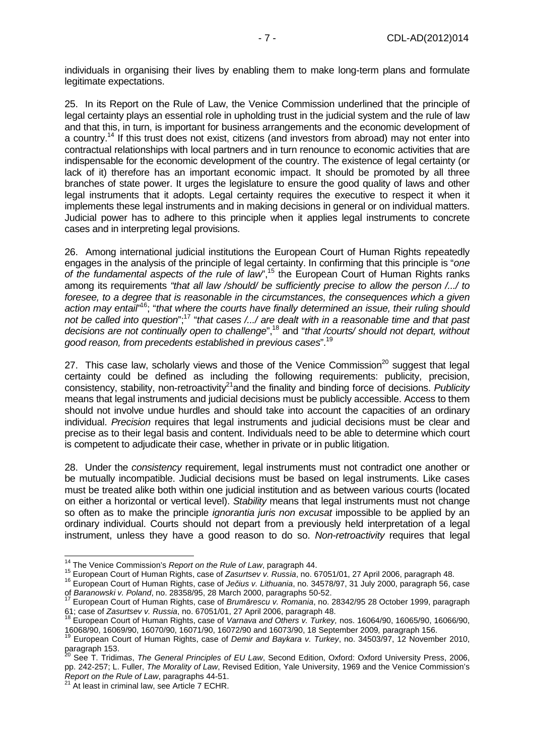individuals in organising their lives by enabling them to make long-term plans and formulate legitimate expectations.

25. In its Report on the Rule of Law, the Venice Commission underlined that the principle of legal certainty plays an essential role in upholding trust in the judicial system and the rule of law and that this, in turn, is important for business arrangements and the economic development of a country.<sup>14</sup> If this trust does not exist, citizens (and investors from abroad) may not enter into contractual relationships with local partners and in turn renounce to economic activities that are indispensable for the economic development of the country. The existence of legal certainty (or lack of it) therefore has an important economic impact. It should be promoted by all three branches of state power. It urges the legislature to ensure the good quality of laws and other legal instruments that it adopts. Legal certainty requires the executive to respect it when it implements these legal instruments and in making decisions in general or on individual matters. Judicial power has to adhere to this principle when it applies legal instruments to concrete cases and in interpreting legal provisions.

26. Among international judicial institutions the European Court of Human Rights repeatedly engages in the analysis of the principle of legal certainty. In confirming that this principle is "one of the fundamental aspects of the rule of law",<sup>15</sup> the European Court of Human Rights ranks among its requirements "that all law /should/ be sufficiently precise to allow the person /.../ to foresee, to a degree that is reasonable in the circumstances, the consequences which a given action may entail<sup>"16</sup>; "that where the courts have finally determined an issue, their ruling should not be called into question";<sup>17</sup> "that cases /.../ are dealt with in a reasonable time and that past decisions are not continually open to challenge",<sup>18</sup> and "that /courts/ should not depart, without good reason, from precedents established in previous cases".<sup>19</sup>

27. This case law, scholarly views and those of the Venice Commission<sup>20</sup> suggest that legal certainty could be defined as including the following requirements: publicity, precision, consistency, stability, non-retroactivity<sup>21</sup> and the finality and binding force of decisions. Publicity means that legal instruments and judicial decisions must be publicly accessible. Access to them should not involve undue hurdles and should take into account the capacities of an ordinary individual. Precision requires that legal instruments and judicial decisions must be clear and precise as to their legal basis and content. Individuals need to be able to determine which court is competent to adjudicate their case, whether in private or in public litigation.

28. Under the consistency requirement, legal instruments must not contradict one another or be mutually incompatible. Judicial decisions must be based on legal instruments. Like cases must be treated alike both within one judicial institution and as between various courts (located on either a horizontal or vertical level). Stability means that legal instruments must not change so often as to make the principle *ignorantia juris non excusat* impossible to be applied by an ordinary individual. Courts should not depart from a previously held interpretation of a legal instrument, unless they have a good reason to do so. Non-retroactivity requires that legal

 $\overline{a}$ 

<sup>&</sup>lt;sup>14</sup> The Venice Commission's Report on the Rule of Law, paragraph 44.

<sup>15</sup> European Court of Human Rights, case of Zasurtsev v. Russia, no. 67051/01, 27 April 2006, paragraph 48.

<sup>16</sup> European Court of Human Rights, case of Je*č*ius v. Lithuania, no. 34578/97, 31 July 2000, paragraph 56, case of Baranowski v. Poland, no. 28358/95, 28 March 2000, paragraphs 50-52.

<sup>17</sup> European Court of Human Rights, case of Brum*ă*rescu v. Romania, no. 28342/95 28 October 1999, paragraph 61; case of Zasurtsev v. Russia, no. 67051/01, 27 April 2006, paragraph 48.

<sup>18</sup> European Court of Human Rights, case of Varnava and Others v. Turkey, nos. 16064/90, 16065/90, 16066/90, 16068/90, 16069/90, 16070/90, 16071/90, 16072/90 and 16073/90, 18 September 2009, paragraph 156.

<sup>&</sup>lt;sup>19</sup> European Court of Human Rights, case of *Demir and Baykara v. Turkey*, no. 34503/97, 12 November 2010, paragraph 153.

<sup>&</sup>lt;sup>20</sup> See T. Tridimas, *The General Principles of EU Law*, Second Edition, Oxford: Oxford University Press, 2006, pp. 242-257; L. Fuller, The Morality of Law, Revised Edition, Yale University, 1969 and the Venice Commission's Report on the Rule of Law, paragraphs 44-51.

 $^{21}$  At least in criminal law, see Article 7 ECHR.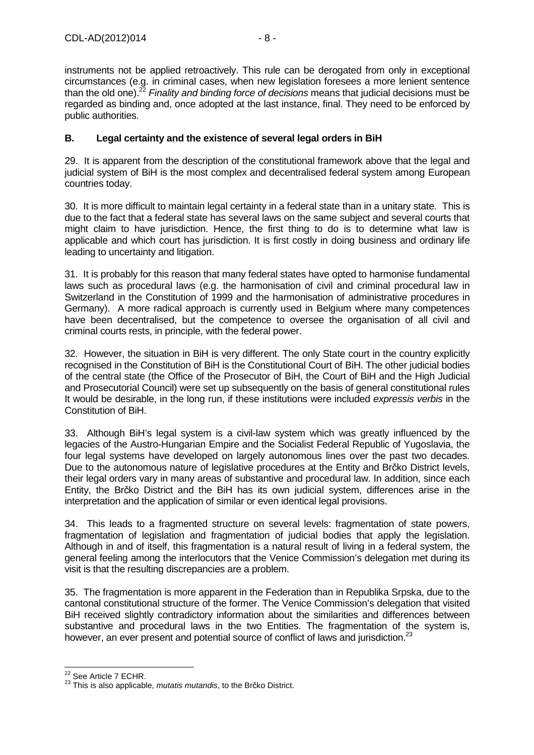instruments not be applied retroactively. This rule can be derogated from only in exceptional circumstances (e.g. in criminal cases, when new legislation foresees a more lenient sentence than the old one).<sup>22</sup> Finality and binding force of decisions means that judicial decisions must be regarded as binding and, once adopted at the last instance, final. They need to be enforced by public authorities.

#### **B. Legal certainty and the existence of several legal orders in BiH**

29. It is apparent from the description of the constitutional framework above that the legal and judicial system of BiH is the most complex and decentralised federal system among European countries today.

30. It is more difficult to maintain legal certainty in a federal state than in a unitary state. This is due to the fact that a federal state has several laws on the same subject and several courts that might claim to have jurisdiction. Hence, the first thing to do is to determine what law is applicable and which court has jurisdiction. It is first costly in doing business and ordinary life leading to uncertainty and litigation.

31. It is probably for this reason that many federal states have opted to harmonise fundamental laws such as procedural laws (e.g. the harmonisation of civil and criminal procedural law in Switzerland in the Constitution of 1999 and the harmonisation of administrative procedures in Germany). A more radical approach is currently used in Belgium where many competences have been decentralised, but the competence to oversee the organisation of all civil and criminal courts rests, in principle, with the federal power.

32. However, the situation in BiH is very different. The only State court in the country explicitly recognised in the Constitution of BiH is the Constitutional Court of BiH. The other judicial bodies of the central state (the Office of the Prosecutor of BiH, the Court of BiH and the High Judicial and Prosecutorial Council) were set up subsequently on the basis of general constitutional rules It would be desirable, in the long run, if these institutions were included expressis verbis in the Constitution of BiH.

33. Although BiH's legal system is a civil-law system which was greatly influenced by the legacies of the Austro-Hungarian Empire and the Socialist Federal Republic of Yugoslavia, the four legal systems have developed on largely autonomous lines over the past two decades. Due to the autonomous nature of legislative procedures at the Entity and Brčko District levels, their legal orders vary in many areas of substantive and procedural law. In addition, since each Entity, the Brčko District and the BiH has its own judicial system, differences arise in the interpretation and the application of similar or even identical legal provisions.

34. This leads to a fragmented structure on several levels: fragmentation of state powers, fragmentation of legislation and fragmentation of judicial bodies that apply the legislation. Although in and of itself, this fragmentation is a natural result of living in a federal system, the general feeling among the interlocutors that the Venice Commission's delegation met during its visit is that the resulting discrepancies are a problem.

35. The fragmentation is more apparent in the Federation than in Republika Srpska, due to the cantonal constitutional structure of the former. The Venice Commission's delegation that visited BiH received slightly contradictory information about the similarities and differences between substantive and procedural laws in the two Entities. The fragmentation of the system is, however, an ever present and potential source of conflict of laws and jurisdiction.<sup>23</sup>

  $22$  See Article 7 ECHR.

 $23$  This is also applicable, *mutatis mutandis*, to the Brčko District.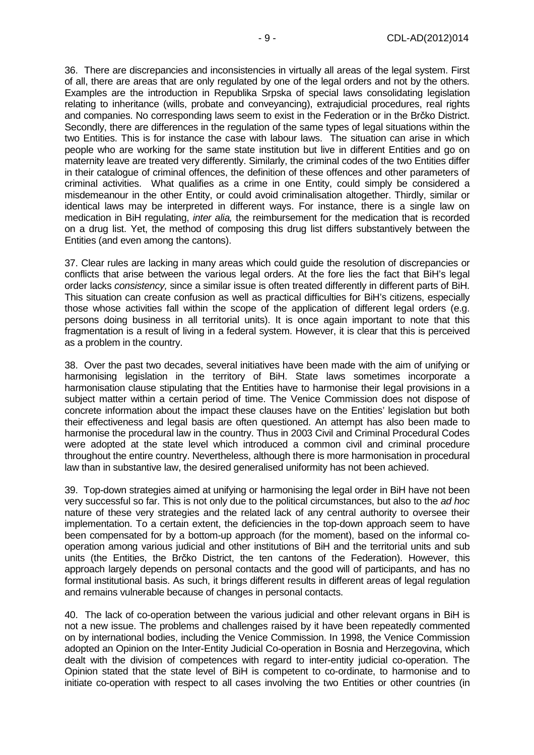36. There are discrepancies and inconsistencies in virtually all areas of the legal system. First of all, there are areas that are only regulated by one of the legal orders and not by the others. Examples are the introduction in Republika Srpska of special laws consolidating legislation relating to inheritance (wills, probate and conveyancing), extrajudicial procedures, real rights and companies. No corresponding laws seem to exist in the Federation or in the Brčko District. Secondly, there are differences in the regulation of the same types of legal situations within the two Entities. This is for instance the case with labour laws. The situation can arise in which people who are working for the same state institution but live in different Entities and go on maternity leave are treated very differently. Similarly, the criminal codes of the two Entities differ in their catalogue of criminal offences, the definition of these offences and other parameters of criminal activities. What qualifies as a crime in one Entity, could simply be considered a misdemeanour in the other Entity, or could avoid criminalisation altogether. Thirdly, similar or identical laws may be interpreted in different ways. For instance, there is a single law on medication in BiH regulating, *inter alia*, the reimbursement for the medication that is recorded on a drug list. Yet, the method of composing this drug list differs substantively between the Entities (and even among the cantons).

37. Clear rules are lacking in many areas which could guide the resolution of discrepancies or conflicts that arise between the various legal orders. At the fore lies the fact that BiH's legal order lacks consistency, since a similar issue is often treated differently in different parts of BiH. This situation can create confusion as well as practical difficulties for BiH's citizens, especially those whose activities fall within the scope of the application of different legal orders (e.g. persons doing business in all territorial units). It is once again important to note that this fragmentation is a result of living in a federal system. However, it is clear that this is perceived as a problem in the country.

38. Over the past two decades, several initiatives have been made with the aim of unifying or harmonising legislation in the territory of BiH. State laws sometimes incorporate a harmonisation clause stipulating that the Entities have to harmonise their legal provisions in a subject matter within a certain period of time. The Venice Commission does not dispose of concrete information about the impact these clauses have on the Entities' legislation but both their effectiveness and legal basis are often questioned. An attempt has also been made to harmonise the procedural law in the country. Thus in 2003 Civil and Criminal Procedural Codes were adopted at the state level which introduced a common civil and criminal procedure throughout the entire country. Nevertheless, although there is more harmonisation in procedural law than in substantive law, the desired generalised uniformity has not been achieved.

39. Top-down strategies aimed at unifying or harmonising the legal order in BiH have not been very successful so far. This is not only due to the political circumstances, but also to the ad hoc nature of these very strategies and the related lack of any central authority to oversee their implementation. To a certain extent, the deficiencies in the top-down approach seem to have been compensated for by a bottom-up approach (for the moment), based on the informal cooperation among various judicial and other institutions of BiH and the territorial units and sub units (the Entities, the Brčko District, the ten cantons of the Federation). However, this approach largely depends on personal contacts and the good will of participants, and has no formal institutional basis. As such, it brings different results in different areas of legal regulation and remains vulnerable because of changes in personal contacts.

40. The lack of co-operation between the various judicial and other relevant organs in BiH is not a new issue. The problems and challenges raised by it have been repeatedly commented on by international bodies, including the Venice Commission. In 1998, the Venice Commission adopted an Opinion on the Inter-Entity Judicial Co-operation in Bosnia and Herzegovina, which dealt with the division of competences with regard to inter-entity judicial co-operation. The Opinion stated that the state level of BiH is competent to co-ordinate, to harmonise and to initiate co-operation with respect to all cases involving the two Entities or other countries (in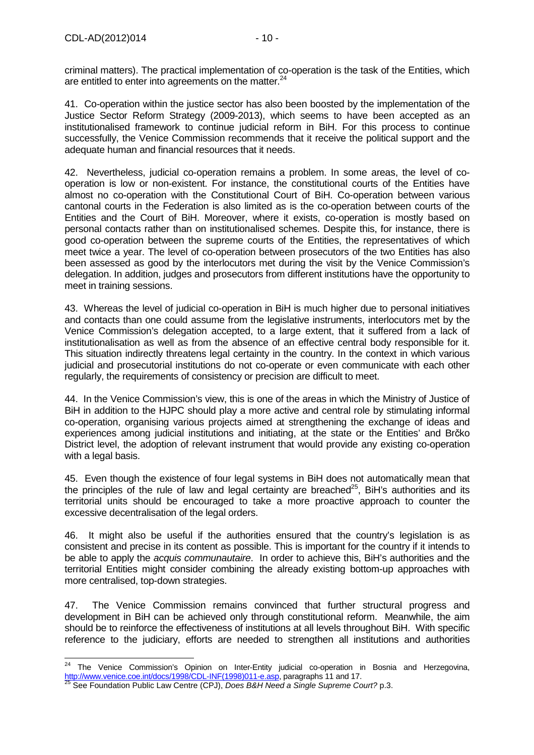$\overline{\phantom{a}}$ 

criminal matters). The practical implementation of co-operation is the task of the Entities, which are entitled to enter into agreements on the matter.<sup>24</sup>

41. Co-operation within the justice sector has also been boosted by the implementation of the Justice Sector Reform Strategy (2009-2013), which seems to have been accepted as an institutionalised framework to continue judicial reform in BiH. For this process to continue successfully, the Venice Commission recommends that it receive the political support and the adequate human and financial resources that it needs.

42. Nevertheless, judicial co-operation remains a problem. In some areas, the level of cooperation is low or non-existent. For instance, the constitutional courts of the Entities have almost no co-operation with the Constitutional Court of BiH. Co-operation between various cantonal courts in the Federation is also limited as is the co-operation between courts of the Entities and the Court of BiH. Moreover, where it exists, co-operation is mostly based on personal contacts rather than on institutionalised schemes. Despite this, for instance, there is good co-operation between the supreme courts of the Entities, the representatives of which meet twice a year. The level of co-operation between prosecutors of the two Entities has also been assessed as good by the interlocutors met during the visit by the Venice Commission's delegation. In addition, judges and prosecutors from different institutions have the opportunity to meet in training sessions.

43. Whereas the level of judicial co-operation in BiH is much higher due to personal initiatives and contacts than one could assume from the legislative instruments, interlocutors met by the Venice Commission's delegation accepted, to a large extent, that it suffered from a lack of institutionalisation as well as from the absence of an effective central body responsible for it. This situation indirectly threatens legal certainty in the country. In the context in which various judicial and prosecutorial institutions do not co-operate or even communicate with each other regularly, the requirements of consistency or precision are difficult to meet.

44. In the Venice Commission's view, this is one of the areas in which the Ministry of Justice of BiH in addition to the HJPC should play a more active and central role by stimulating informal co-operation, organising various projects aimed at strengthening the exchange of ideas and experiences among judicial institutions and initiating, at the state or the Entities' and Brčko District level, the adoption of relevant instrument that would provide any existing co-operation with a legal basis.

45. Even though the existence of four legal systems in BiH does not automatically mean that the principles of the rule of law and legal certainty are breached<sup>25</sup>. BiH's authorities and its territorial units should be encouraged to take a more proactive approach to counter the excessive decentralisation of the legal orders.

46. It might also be useful if the authorities ensured that the country's legislation is as consistent and precise in its content as possible. This is important for the country if it intends to be able to apply the *acquis communautaire*. In order to achieve this, BiH's authorities and the territorial Entities might consider combining the already existing bottom-up approaches with more centralised, top-down strategies.

47. The Venice Commission remains convinced that further structural progress and development in BiH can be achieved only through constitutional reform. Meanwhile, the aim should be to reinforce the effectiveness of institutions at all levels throughout BiH. With specific reference to the judiciary, efforts are needed to strengthen all institutions and authorities

<sup>24</sup> The Venice Commission's Opinion on Inter-Entity judicial co-operation in Bosnia and Herzegovina, http://www.venice.coe.int/docs/1998/CDL-INF(1998)011-e.asp, paragraphs 11 and 17.

<sup>&</sup>lt;sup>25</sup> See Foundation Public Law Centre (CPJ), Does B&H Need a Single Supreme Court? p.3.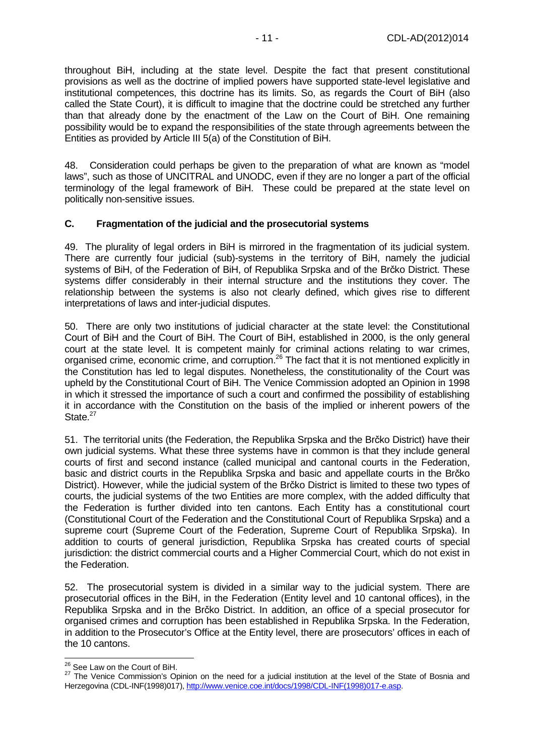throughout BiH, including at the state level. Despite the fact that present constitutional provisions as well as the doctrine of implied powers have supported state-level legislative and institutional competences, this doctrine has its limits. So, as regards the Court of BiH (also called the State Court), it is difficult to imagine that the doctrine could be stretched any further than that already done by the enactment of the Law on the Court of BiH. One remaining possibility would be to expand the responsibilities of the state through agreements between the Entities as provided by Article III 5(a) of the Constitution of BiH.

48. Consideration could perhaps be given to the preparation of what are known as "model laws", such as those of UNCITRAL and UNODC, even if they are no longer a part of the official terminology of the legal framework of BiH. These could be prepared at the state level on politically non-sensitive issues.

#### **C. Fragmentation of the judicial and the prosecutorial systems**

49. The plurality of legal orders in BiH is mirrored in the fragmentation of its judicial system. There are currently four judicial (sub)-systems in the territory of BiH, namely the judicial systems of BiH, of the Federation of BiH, of Republika Srpska and of the Brčko District. These systems differ considerably in their internal structure and the institutions they cover. The relationship between the systems is also not clearly defined, which gives rise to different interpretations of laws and inter-judicial disputes.

50. There are only two institutions of judicial character at the state level: the Constitutional Court of BiH and the Court of BiH. The Court of BiH, established in 2000, is the only general court at the state level. It is competent mainly for criminal actions relating to war crimes, organised crime, economic crime, and corruption.<sup>26</sup> The fact that it is not mentioned explicitly in the Constitution has led to legal disputes. Nonetheless, the constitutionality of the Court was upheld by the Constitutional Court of BiH. The Venice Commission adopted an Opinion in 1998 in which it stressed the importance of such a court and confirmed the possibility of establishing it in accordance with the Constitution on the basis of the implied or inherent powers of the State.<sup>27</sup>

51. The territorial units (the Federation, the Republika Srpska and the Brčko District) have their own judicial systems. What these three systems have in common is that they include general courts of first and second instance (called municipal and cantonal courts in the Federation, basic and district courts in the Republika Srpska and basic and appellate courts in the Brčko District). However, while the judicial system of the Brčko District is limited to these two types of courts, the judicial systems of the two Entities are more complex, with the added difficulty that the Federation is further divided into ten cantons. Each Entity has a constitutional court (Constitutional Court of the Federation and the Constitutional Court of Republika Srpska) and a supreme court (Supreme Court of the Federation, Supreme Court of Republika Srpska). In addition to courts of general jurisdiction, Republika Srpska has created courts of special jurisdiction: the district commercial courts and a Higher Commercial Court, which do not exist in the Federation.

52. The prosecutorial system is divided in a similar way to the judicial system. There are prosecutorial offices in the BiH, in the Federation (Entity level and 10 cantonal offices), in the Republika Srpska and in the Brčko District. In addition, an office of a special prosecutor for organised crimes and corruption has been established in Republika Srpska. In the Federation, in addition to the Prosecutor's Office at the Entity level, there are prosecutors' offices in each of the 10 cantons.

 $\overline{\phantom{a}}$ <sup>26</sup> See Law on the Court of BiH.

<sup>27</sup> The Venice Commission's Opinion on the need for a judicial institution at the level of the State of Bosnia and Herzegovina (CDL-INF(1998)017), http://www.venice.coe.int/docs/1998/CDL-INF(1998)017-e.asp.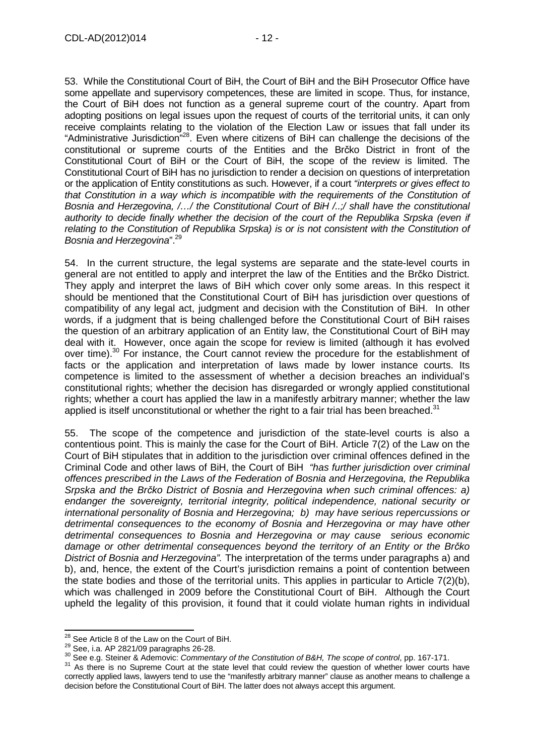53. While the Constitutional Court of BiH, the Court of BiH and the BiH Prosecutor Office have some appellate and supervisory competences, these are limited in scope. Thus, for instance, the Court of BiH does not function as a general supreme court of the country. Apart from adopting positions on legal issues upon the request of courts of the territorial units, it can only receive complaints relating to the violation of the Election Law or issues that fall under its "Administrative Jurisdiction"<sup>28</sup>. Even where citizens of BiH can challenge the decisions of the constitutional or supreme courts of the Entities and the Brčko District in front of the Constitutional Court of BiH or the Court of BiH, the scope of the review is limited. The Constitutional Court of BiH has no jurisdiction to render a decision on questions of interpretation or the application of Entity constitutions as such. However, if a court "interprets or gives effect to that Constitution in a way which is incompatible with the requirements of the Constitution of Bosnia and Herzegovina, /…/ the Constitutional Court of BiH /..;/ shall have the constitutional authority to decide finally whether the decision of the court of the Republika Srpska (even if relating to the Constitution of Republika Srpska) is or is not consistent with the Constitution of Bosnia and Herzegovina".<sup>29</sup>

54. In the current structure, the legal systems are separate and the state-level courts in general are not entitled to apply and interpret the law of the Entities and the Brčko District. They apply and interpret the laws of BiH which cover only some areas. In this respect it should be mentioned that the Constitutional Court of BiH has jurisdiction over questions of compatibility of any legal act, judgment and decision with the Constitution of BiH. In other words, if a judgment that is being challenged before the Constitutional Court of BiH raises the question of an arbitrary application of an Entity law, the Constitutional Court of BiH may deal with it. However, once again the scope for review is limited (although it has evolved over time).<sup>30</sup> For instance, the Court cannot review the procedure for the establishment of facts or the application and interpretation of laws made by lower instance courts. Its competence is limited to the assessment of whether a decision breaches an individual's constitutional rights; whether the decision has disregarded or wrongly applied constitutional rights; whether a court has applied the law in a manifestly arbitrary manner; whether the law applied is itself unconstitutional or whether the right to a fair trial has been breached. $31$ 

55. The scope of the competence and jurisdiction of the state-level courts is also a contentious point. This is mainly the case for the Court of BiH. Article 7(2) of the Law on the Court of BiH stipulates that in addition to the jurisdiction over criminal offences defined in the Criminal Code and other laws of BiH, the Court of BiH "has further jurisdiction over criminal offences prescribed in the Laws of the Federation of Bosnia and Herzegovina, the Republika Srpska and the Br*č*ko District of Bosnia and Herzegovina when such criminal offences: a) endanger the sovereignty, territorial integrity, political independence, national security or international personality of Bosnia and Herzegovina; b) may have serious repercussions or detrimental consequences to the economy of Bosnia and Herzegovina or may have other detrimental consequences to Bosnia and Herzegovina or may cause serious economic damage or other detrimental consequences beyond the territory of an Entity or the Br*č*ko District of Bosnia and Herzegovina". The interpretation of the terms under paragraphs a) and b), and, hence, the extent of the Court's jurisdiction remains a point of contention between the state bodies and those of the territorial units. This applies in particular to Article 7(2)(b), which was challenged in 2009 before the Constitutional Court of BiH. Although the Court upheld the legality of this provision, it found that it could violate human rights in individual

 $\overline{\phantom{a}}$  $^{28}$  See Article 8 of the Law on the Court of BiH.

<sup>29</sup> See, i.a. AP 2821/09 paragraphs 26-28.

<sup>&</sup>lt;sup>30</sup> See e.g. Steiner & Ademovic: Commentary of the Constitution of B&H, The scope of control, pp. 167-171.

<sup>&</sup>lt;sup>31</sup> As there is no Supreme Court at the state level that could review the question of whether lower courts have correctly applied laws, lawyers tend to use the "manifestly arbitrary manner" clause as another means to challenge a decision before the Constitutional Court of BiH. The latter does not always accept this argument.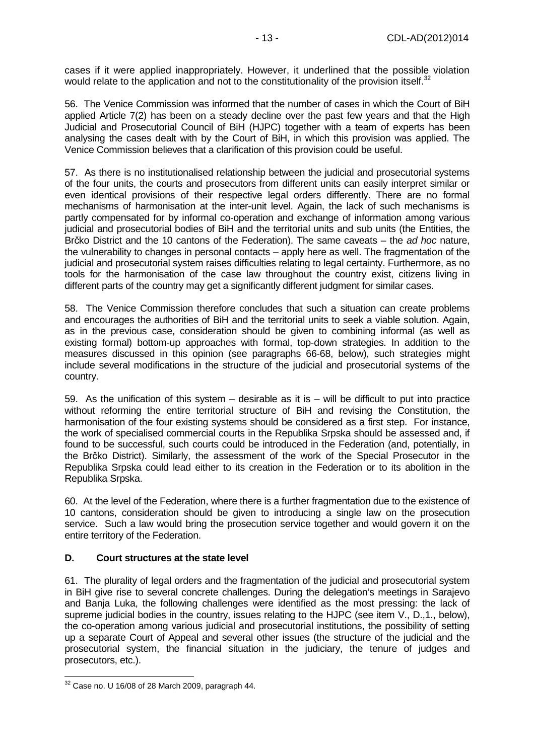cases if it were applied inappropriately. However, it underlined that the possible violation would relate to the application and not to the constitutionality of the provision itself.<sup>32</sup>

56. The Venice Commission was informed that the number of cases in which the Court of BiH applied Article 7(2) has been on a steady decline over the past few years and that the High Judicial and Prosecutorial Council of BiH (HJPC) together with a team of experts has been analysing the cases dealt with by the Court of BiH, in which this provision was applied. The Venice Commission believes that a clarification of this provision could be useful.

57. As there is no institutionalised relationship between the judicial and prosecutorial systems of the four units, the courts and prosecutors from different units can easily interpret similar or even identical provisions of their respective legal orders differently. There are no formal mechanisms of harmonisation at the inter-unit level. Again, the lack of such mechanisms is partly compensated for by informal co-operation and exchange of information among various judicial and prosecutorial bodies of BiH and the territorial units and sub units (the Entities, the Brčko District and the 10 cantons of the Federation). The same caveats – the ad hoc nature, the vulnerability to changes in personal contacts – apply here as well. The fragmentation of the judicial and prosecutorial system raises difficulties relating to legal certainty. Furthermore, as no tools for the harmonisation of the case law throughout the country exist, citizens living in different parts of the country may get a significantly different judgment for similar cases.

58. The Venice Commission therefore concludes that such a situation can create problems and encourages the authorities of BiH and the territorial units to seek a viable solution. Again, as in the previous case, consideration should be given to combining informal (as well as existing formal) bottom-up approaches with formal, top-down strategies. In addition to the measures discussed in this opinion (see paragraphs 66-68, below), such strategies might include several modifications in the structure of the judicial and prosecutorial systems of the country.

59. As the unification of this system – desirable as it is – will be difficult to put into practice without reforming the entire territorial structure of BiH and revising the Constitution, the harmonisation of the four existing systems should be considered as a first step. For instance, the work of specialised commercial courts in the Republika Srpska should be assessed and, if found to be successful, such courts could be introduced in the Federation (and, potentially, in the Brčko District). Similarly, the assessment of the work of the Special Prosecutor in the Republika Srpska could lead either to its creation in the Federation or to its abolition in the Republika Srpska.

60. At the level of the Federation, where there is a further fragmentation due to the existence of 10 cantons, consideration should be given to introducing a single law on the prosecution service. Such a law would bring the prosecution service together and would govern it on the entire territory of the Federation.

#### **D. Court structures at the state level**

61. The plurality of legal orders and the fragmentation of the judicial and prosecutorial system in BiH give rise to several concrete challenges. During the delegation's meetings in Sarajevo and Banja Luka, the following challenges were identified as the most pressing: the lack of supreme judicial bodies in the country, issues relating to the HJPC (see item V., D.,1., below), the co-operation among various judicial and prosecutorial institutions, the possibility of setting up a separate Court of Appeal and several other issues (the structure of the judicial and the prosecutorial system, the financial situation in the judiciary, the tenure of judges and prosecutors, etc.).

 $\overline{a}$  $32$  Case no. U 16/08 of 28 March 2009, paragraph 44.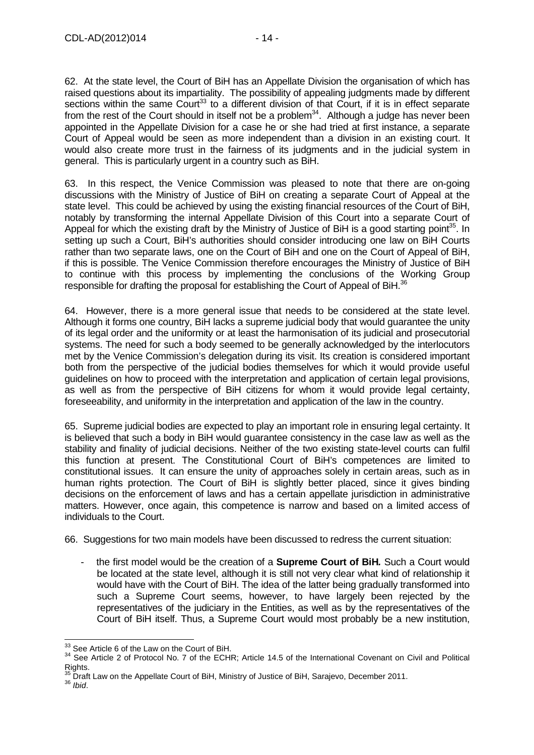62. At the state level, the Court of BiH has an Appellate Division the organisation of which has raised questions about its impartiality. The possibility of appealing judgments made by different sections within the same Court<sup>33</sup> to a different division of that Court, if it is in effect separate from the rest of the Court should in itself not be a problem<sup>34</sup>. Although a judge has never been appointed in the Appellate Division for a case he or she had tried at first instance, a separate Court of Appeal would be seen as more independent than a division in an existing court. It would also create more trust in the fairness of its judgments and in the judicial system in general. This is particularly urgent in a country such as BiH.

63. In this respect, the Venice Commission was pleased to note that there are on-going discussions with the Ministry of Justice of BiH on creating a separate Court of Appeal at the state level. This could be achieved by using the existing financial resources of the Court of BiH, notably by transforming the internal Appellate Division of this Court into a separate Court of Appeal for which the existing draft by the Ministry of Justice of BiH is a good starting point<sup>35</sup>. In setting up such a Court, BiH's authorities should consider introducing one law on BiH Courts rather than two separate laws, one on the Court of BiH and one on the Court of Appeal of BiH, if this is possible. The Venice Commission therefore encourages the Ministry of Justice of BiH to continue with this process by implementing the conclusions of the Working Group responsible for drafting the proposal for establishing the Court of Appeal of BiH.<sup>36</sup>

64. However, there is a more general issue that needs to be considered at the state level. Although it forms one country, BiH lacks a supreme judicial body that would guarantee the unity of its legal order and the uniformity or at least the harmonisation of its judicial and prosecutorial systems. The need for such a body seemed to be generally acknowledged by the interlocutors met by the Venice Commission's delegation during its visit. Its creation is considered important both from the perspective of the judicial bodies themselves for which it would provide useful guidelines on how to proceed with the interpretation and application of certain legal provisions, as well as from the perspective of BiH citizens for whom it would provide legal certainty, foreseeability, and uniformity in the interpretation and application of the law in the country.

65. Supreme judicial bodies are expected to play an important role in ensuring legal certainty. It is believed that such a body in BiH would guarantee consistency in the case law as well as the stability and finality of judicial decisions. Neither of the two existing state-level courts can fulfil this function at present. The Constitutional Court of BiH's competences are limited to constitutional issues. It can ensure the unity of approaches solely in certain areas, such as in human rights protection. The Court of BiH is slightly better placed, since it gives binding decisions on the enforcement of laws and has a certain appellate jurisdiction in administrative matters. However, once again, this competence is narrow and based on a limited access of individuals to the Court.

66. Suggestions for two main models have been discussed to redress the current situation:

- the first model would be the creation of a **Supreme Court of BiH.** Such a Court would be located at the state level, although it is still not very clear what kind of relationship it would have with the Court of BiH. The idea of the latter being gradually transformed into such a Supreme Court seems, however, to have largely been rejected by the representatives of the judiciary in the Entities, as well as by the representatives of the Court of BiH itself. Thus, a Supreme Court would most probably be a new institution,

  $33$  See Article 6 of the Law on the Court of BiH.

<sup>&</sup>lt;sup>34</sup> See Article 2 of Protocol No. 7 of the ECHR; Article 14.5 of the International Covenant on Civil and Political  $Rights.$ <sub>35</sub>

Draft Law on the Appellate Court of BiH, Ministry of Justice of BiH, Sarajevo, December 2011.

 $36$  *Ibid.*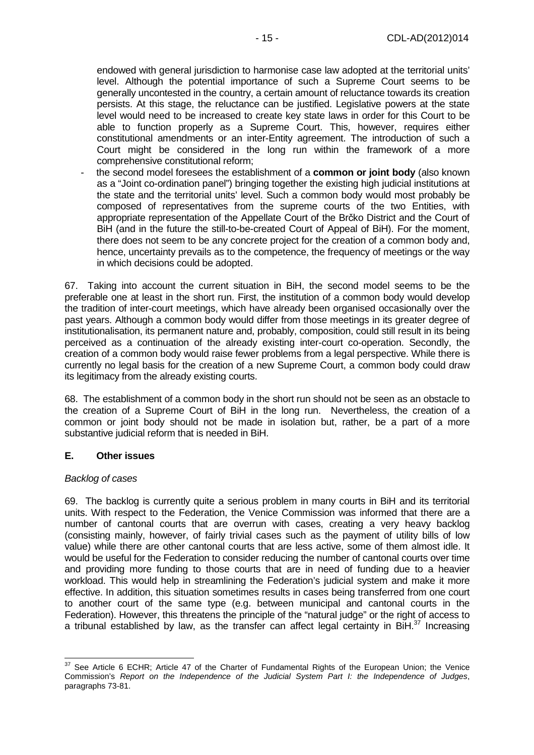endowed with general jurisdiction to harmonise case law adopted at the territorial units' level. Although the potential importance of such a Supreme Court seems to be generally uncontested in the country, a certain amount of reluctance towards its creation persists. At this stage, the reluctance can be justified. Legislative powers at the state level would need to be increased to create key state laws in order for this Court to be able to function properly as a Supreme Court. This, however, requires either constitutional amendments or an inter-Entity agreement. The introduction of such a Court might be considered in the long run within the framework of a more comprehensive constitutional reform;

- the second model foresees the establishment of a **common or joint body** (also known as a "Joint co-ordination panel") bringing together the existing high judicial institutions at the state and the territorial units' level. Such a common body would most probably be composed of representatives from the supreme courts of the two Entities, with appropriate representation of the Appellate Court of the Brčko District and the Court of BiH (and in the future the still-to-be-created Court of Appeal of BiH). For the moment, there does not seem to be any concrete project for the creation of a common body and, hence, uncertainty prevails as to the competence, the frequency of meetings or the way in which decisions could be adopted.

67. Taking into account the current situation in BiH, the second model seems to be the preferable one at least in the short run. First, the institution of a common body would develop the tradition of inter-court meetings, which have already been organised occasionally over the past years. Although a common body would differ from those meetings in its greater degree of institutionalisation, its permanent nature and, probably, composition, could still result in its being perceived as a continuation of the already existing inter-court co-operation. Secondly, the creation of a common body would raise fewer problems from a legal perspective. While there is currently no legal basis for the creation of a new Supreme Court, a common body could draw its legitimacy from the already existing courts.

68. The establishment of a common body in the short run should not be seen as an obstacle to the creation of a Supreme Court of BiH in the long run. Nevertheless, the creation of a common or joint body should not be made in isolation but, rather, be a part of a more substantive judicial reform that is needed in BiH.

#### **E. Other issues**

#### Backlog of cases

 $\overline{a}$ 

69. The backlog is currently quite a serious problem in many courts in BiH and its territorial units. With respect to the Federation, the Venice Commission was informed that there are a number of cantonal courts that are overrun with cases, creating a very heavy backlog (consisting mainly, however, of fairly trivial cases such as the payment of utility bills of low value) while there are other cantonal courts that are less active, some of them almost idle. It would be useful for the Federation to consider reducing the number of cantonal courts over time and providing more funding to those courts that are in need of funding due to a heavier workload. This would help in streamlining the Federation's judicial system and make it more effective. In addition, this situation sometimes results in cases being transferred from one court to another court of the same type (e.g. between municipal and cantonal courts in the Federation). However, this threatens the principle of the "natural judge" or the right of access to a tribunal established by law, as the transfer can affect legal certainty in BiH.<sup>37</sup> Increasing

 $37$  See Article 6 ECHR; Article 47 of the Charter of Fundamental Rights of the European Union; the Venice Commission's Report on the Independence of the Judicial System Part I: the Independence of Judges, paragraphs 73-81.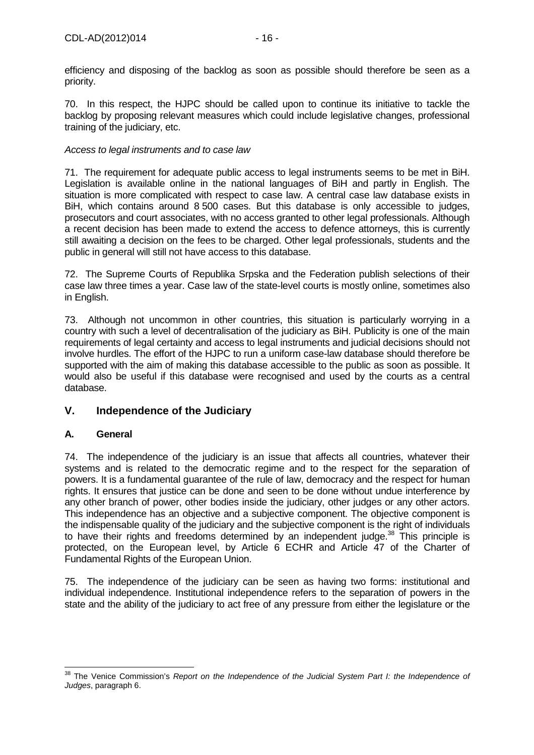efficiency and disposing of the backlog as soon as possible should therefore be seen as a priority.

70. In this respect, the HJPC should be called upon to continue its initiative to tackle the backlog by proposing relevant measures which could include legislative changes, professional training of the judiciary, etc.

#### Access to legal instruments and to case law

71. The requirement for adequate public access to legal instruments seems to be met in BiH. Legislation is available online in the national languages of BiH and partly in English. The situation is more complicated with respect to case law. A central case law database exists in BiH, which contains around 8 500 cases. But this database is only accessible to judges, prosecutors and court associates, with no access granted to other legal professionals. Although a recent decision has been made to extend the access to defence attorneys, this is currently still awaiting a decision on the fees to be charged. Other legal professionals, students and the public in general will still not have access to this database.

72. The Supreme Courts of Republika Srpska and the Federation publish selections of their case law three times a year. Case law of the state-level courts is mostly online, sometimes also in English.

73. Although not uncommon in other countries, this situation is particularly worrying in a country with such a level of decentralisation of the judiciary as BiH. Publicity is one of the main requirements of legal certainty and access to legal instruments and judicial decisions should not involve hurdles. The effort of the HJPC to run a uniform case-law database should therefore be supported with the aim of making this database accessible to the public as soon as possible. It would also be useful if this database were recognised and used by the courts as a central database.

## **V. Independence of the Judiciary**

#### **A. General**

74. The independence of the judiciary is an issue that affects all countries, whatever their systems and is related to the democratic regime and to the respect for the separation of powers. It is a fundamental guarantee of the rule of law, democracy and the respect for human rights. It ensures that justice can be done and seen to be done without undue interference by any other branch of power, other bodies inside the judiciary, other judges or any other actors. This independence has an objective and a subjective component. The objective component is the indispensable quality of the judiciary and the subjective component is the right of individuals to have their rights and freedoms determined by an independent judge.<sup>38</sup> This principle is protected, on the European level, by Article 6 ECHR and Article 47 of the Charter of Fundamental Rights of the European Union.

75. The independence of the judiciary can be seen as having two forms: institutional and individual independence. Institutional independence refers to the separation of powers in the state and the ability of the judiciary to act free of any pressure from either the legislature or the

j <sup>38</sup> The Venice Commission's Report on the Independence of the Judicial System Part I: the Independence of Judges, paragraph 6.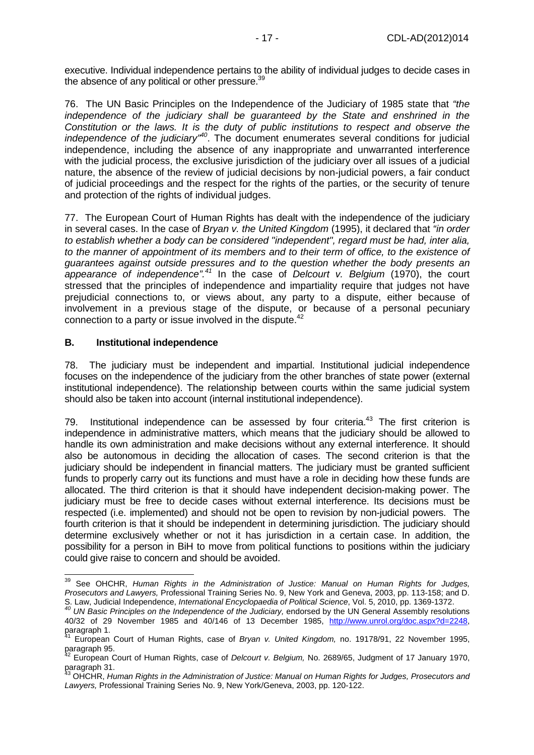executive. Individual independence pertains to the ability of individual judges to decide cases in the absence of any political or other pressure.<sup>39</sup>

76. The UN Basic Principles on the Independence of the Judiciary of 1985 state that "the independence of the judiciary shall be guaranteed by the State and enshrined in the Constitution or the laws. It is the duty of public institutions to respect and observe the independence of the judiciary<sup> $n/40$ </sup>. The document enumerates several conditions for judicial independence, including the absence of any inappropriate and unwarranted interference with the judicial process, the exclusive jurisdiction of the judiciary over all issues of a judicial nature, the absence of the review of judicial decisions by non-judicial powers, a fair conduct of judicial proceedings and the respect for the rights of the parties, or the security of tenure and protection of the rights of individual judges.

77. The European Court of Human Rights has dealt with the independence of the judiciary in several cases. In the case of Bryan v. the United Kingdom (1995), it declared that "in order to establish whether a body can be considered "independent", regard must be had, inter alia, to the manner of appointment of its members and to their term of office, to the existence of guarantees against outside pressures and to the question whether the body presents an appearance of independence".<sup>41</sup> In the case of Delcourt v. Belgium (1970), the court stressed that the principles of independence and impartiality require that judges not have prejudicial connections to, or views about, any party to a dispute, either because of involvement in a previous stage of the dispute, or because of a personal pecuniary connection to a party or issue involved in the dispute.<sup>42</sup>

#### **B. Institutional independence**

j

78. The judiciary must be independent and impartial. Institutional judicial independence focuses on the independence of the judiciary from the other branches of state power (external institutional independence). The relationship between courts within the same judicial system should also be taken into account (internal institutional independence).

79. Institutional independence can be assessed by four criteria.<sup>43</sup> The first criterion is independence in administrative matters, which means that the judiciary should be allowed to handle its own administration and make decisions without any external interference. It should also be autonomous in deciding the allocation of cases. The second criterion is that the judiciary should be independent in financial matters. The judiciary must be granted sufficient funds to properly carry out its functions and must have a role in deciding how these funds are allocated. The third criterion is that it should have independent decision-making power. The judiciary must be free to decide cases without external interference. Its decisions must be respected (i.e. implemented) and should not be open to revision by non-judicial powers. The fourth criterion is that it should be independent in determining jurisdiction. The judiciary should determine exclusively whether or not it has jurisdiction in a certain case. In addition, the possibility for a person in BiH to move from political functions to positions within the judiciary could give raise to concern and should be avoided.

<sup>&</sup>lt;sup>39</sup> See OHCHR, Human Rights in the Administration of Justice: Manual on Human Rights for Judges, Prosecutors and Lawyers, Professional Training Series No. 9, New York and Geneva, 2003, pp. 113-158; and D. S. Law, Judicial Independence, International Encyclopaedia of Political Science, Vol. 5, 2010, pp. 1369-1372.

 $^{40}$  UN Basic Principles on the Independence of the Judiciary, endorsed by the UN General Assembly resolutions 40/32 of 29 November 1985 and 40/146 of 13 December 1985, http://www.unrol.org/doc.aspx?d=2248, paragraph 1.

European Court of Human Rights, case of Bryan v. United Kingdom, no. 19178/91, 22 November 1995, paragraph 95.

 $42$  European Court of Human Rights, case of Delcourt v. Belgium, No. 2689/65, Judgment of 17 January 1970, paragraph 31.

 $^{43}$  OHCHR, Human Rights in the Administration of Justice: Manual on Human Rights for Judges, Prosecutors and Lawyers, Professional Training Series No. 9, New York/Geneva, 2003, pp. 120-122.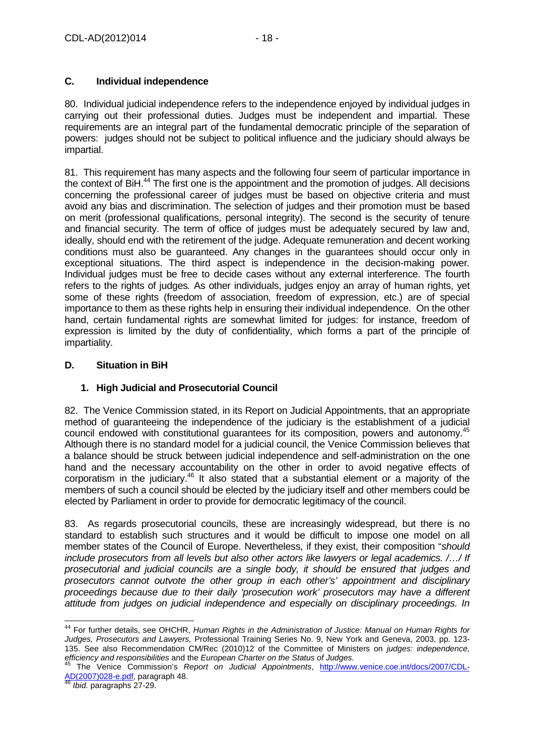### **C. Individual independence**

80. Individual judicial independence refers to the independence enjoyed by individual judges in carrying out their professional duties. Judges must be independent and impartial. These requirements are an integral part of the fundamental democratic principle of the separation of powers: judges should not be subject to political influence and the judiciary should always be impartial.

81. This requirement has many aspects and the following four seem of particular importance in the context of BiH $^{44}$  The first one is the appointment and the promotion of judges. All decisions concerning the professional career of judges must be based on objective criteria and must avoid any bias and discrimination. The selection of judges and their promotion must be based on merit (professional qualifications, personal integrity). The second is the security of tenure and financial security. The term of office of judges must be adequately secured by law and, ideally, should end with the retirement of the judge. Adequate remuneration and decent working conditions must also be guaranteed. Any changes in the guarantees should occur only in exceptional situations. The third aspect is independence in the decision-making power. Individual judges must be free to decide cases without any external interference. The fourth refers to the rights of judges. As other individuals, judges enjoy an array of human rights, yet some of these rights (freedom of association, freedom of expression, etc.) are of special importance to them as these rights help in ensuring their individual independence. On the other hand, certain fundamental rights are somewhat limited for judges: for instance, freedom of expression is limited by the duty of confidentiality, which forms a part of the principle of impartiality.

### **D. Situation in BiH**

## **1. High Judicial and Prosecutorial Council**

82. The Venice Commission stated, in its Report on Judicial Appointments, that an appropriate method of guaranteeing the independence of the judiciary is the establishment of a judicial council endowed with constitutional guarantees for its composition, powers and autonomy.<sup>45</sup> Although there is no standard model for a judicial council, the Venice Commission believes that a balance should be struck between judicial independence and self-administration on the one hand and the necessary accountability on the other in order to avoid negative effects of corporatism in the judiciary.<sup>46</sup> It also stated that a substantial element or a majority of the members of such a council should be elected by the judiciary itself and other members could be elected by Parliament in order to provide for democratic legitimacy of the council.

83. As regards prosecutorial councils, these are increasingly widespread, but there is no standard to establish such structures and it would be difficult to impose one model on all member states of the Council of Europe. Nevertheless, if they exist, their composition "should include prosecutors from all levels but also other actors like lawyers or legal academics. /…/ If prosecutorial and judicial councils are a single body, it should be ensured that judges and prosecutors cannot outvote the other group in each other's' appointment and disciplinary proceedings because due to their daily 'prosecution work' prosecutors may have a different attitude from judges on judicial independence and especially on disciplinary proceedings. In

j <sup>44</sup> For further details, see OHCHR, Human Rights in the Administration of Justice: Manual on Human Rights for Judges, Prosecutors and Lawyers, Professional Training Series No. 9, New York and Geneva, 2003, pp. 123- 135. See also Recommendation CM/Rec (2010)12 of the Committee of Ministers on judges: independence, efficiency and responsibilities and the European Charter on the Status of Judges.

The Venice Commission's Report on Judicial Appointments, http://www.venice.coe.int/docs/2007/CDL-AD(2007)028-e.pdf, paragraph 48.

<sup>46</sup> *Ibid.* paragraphs 27-29.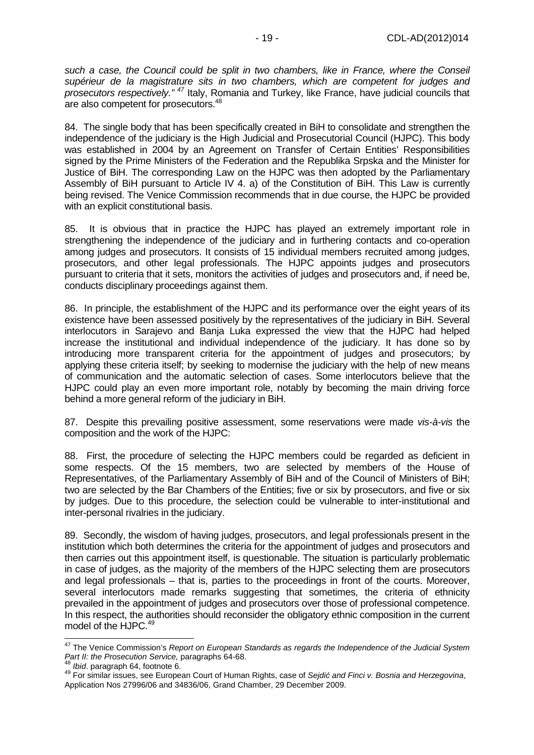such a case, the Council could be split in two chambers, like in France, where the Conseil supérieur de la magistrature sits in two chambers, which are competent for judges and prosecutors respectively." <sup>47</sup> Italy, Romania and Turkey, like France, have judicial councils that are also competent for prosecutors.<sup>48</sup>

84. The single body that has been specifically created in BiH to consolidate and strengthen the independence of the judiciary is the High Judicial and Prosecutorial Council (HJPC). This body was established in 2004 by an Agreement on Transfer of Certain Entities' Responsibilities signed by the Prime Ministers of the Federation and the Republika Srpska and the Minister for Justice of BiH. The corresponding Law on the HJPC was then adopted by the Parliamentary Assembly of BiH pursuant to Article IV 4. a) of the Constitution of BiH. This Law is currently being revised. The Venice Commission recommends that in due course, the HJPC be provided with an explicit constitutional basis.

85. It is obvious that in practice the HJPC has played an extremely important role in strengthening the independence of the judiciary and in furthering contacts and co-operation among judges and prosecutors. It consists of 15 individual members recruited among judges, prosecutors, and other legal professionals. The HJPC appoints judges and prosecutors pursuant to criteria that it sets, monitors the activities of judges and prosecutors and, if need be, conducts disciplinary proceedings against them.

86. In principle, the establishment of the HJPC and its performance over the eight years of its existence have been assessed positively by the representatives of the judiciary in BiH. Several interlocutors in Sarajevo and Banja Luka expressed the view that the HJPC had helped increase the institutional and individual independence of the judiciary. It has done so by introducing more transparent criteria for the appointment of judges and prosecutors; by applying these criteria itself; by seeking to modernise the judiciary with the help of new means of communication and the automatic selection of cases. Some interlocutors believe that the HJPC could play an even more important role, notably by becoming the main driving force behind a more general reform of the judiciary in BiH.

87. Despite this prevailing positive assessment, some reservations were made vis-à-vis the composition and the work of the HJPC:

88. First, the procedure of selecting the HJPC members could be regarded as deficient in some respects. Of the 15 members, two are selected by members of the House of Representatives, of the Parliamentary Assembly of BiH and of the Council of Ministers of BiH; two are selected by the Bar Chambers of the Entities; five or six by prosecutors, and five or six by judges. Due to this procedure, the selection could be vulnerable to inter-institutional and inter-personal rivalries in the judiciary.

89. Secondly, the wisdom of having judges, prosecutors, and legal professionals present in the institution which both determines the criteria for the appointment of judges and prosecutors and then carries out this appointment itself, is questionable. The situation is particularly problematic in case of judges, as the majority of the members of the HJPC selecting them are prosecutors and legal professionals – that is, parties to the proceedings in front of the courts. Moreover, several interlocutors made remarks suggesting that sometimes, the criteria of ethnicity prevailed in the appointment of judges and prosecutors over those of professional competence. In this respect, the authorities should reconsider the obligatory ethnic composition in the current model of the HJPC.<sup>49</sup>

 <sup>47</sup> The Venice Commission's Report on European Standards as regards the Independence of the Judicial System Part II: the Prosecution Service, paragraphs 64-68.

Ibid. paragraph 64, footnote 6.

<sup>49</sup> For similar issues, see European Court of Human Rights, case of Sejdi*ć* and Finci v. Bosnia and Herzegovina, Application Nos 27996/06 and 34836/06, Grand Chamber, 29 December 2009.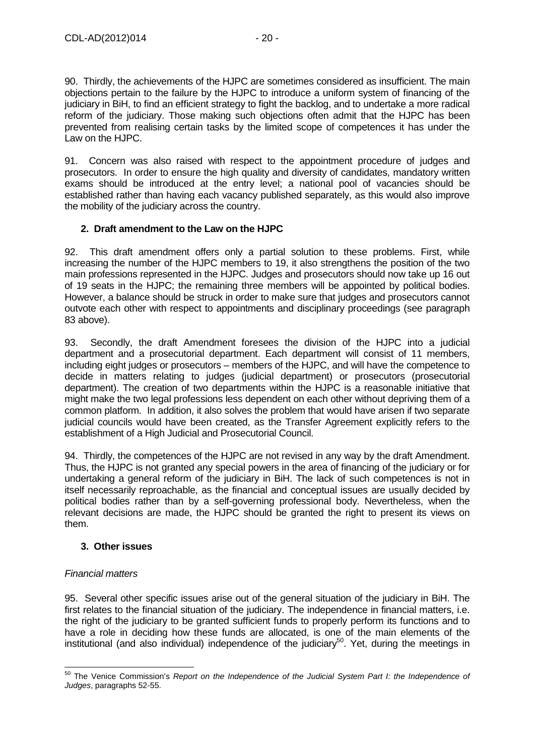90. Thirdly, the achievements of the HJPC are sometimes considered as insufficient. The main objections pertain to the failure by the HJPC to introduce a uniform system of financing of the judiciary in BiH, to find an efficient strategy to fight the backlog, and to undertake a more radical reform of the judiciary. Those making such objections often admit that the HJPC has been prevented from realising certain tasks by the limited scope of competences it has under the Law on the HJPC.

91. Concern was also raised with respect to the appointment procedure of judges and prosecutors. In order to ensure the high quality and diversity of candidates, mandatory written exams should be introduced at the entry level; a national pool of vacancies should be established rather than having each vacancy published separately, as this would also improve the mobility of the judiciary across the country.

#### **2. Draft amendment to the Law on the HJPC**

92. This draft amendment offers only a partial solution to these problems. First, while increasing the number of the HJPC members to 19, it also strengthens the position of the two main professions represented in the HJPC. Judges and prosecutors should now take up 16 out of 19 seats in the HJPC; the remaining three members will be appointed by political bodies. However, a balance should be struck in order to make sure that judges and prosecutors cannot outvote each other with respect to appointments and disciplinary proceedings (see paragraph 83 above).

93. Secondly, the draft Amendment foresees the division of the HJPC into a judicial department and a prosecutorial department. Each department will consist of 11 members, including eight judges or prosecutors – members of the HJPC, and will have the competence to decide in matters relating to judges (judicial department) or prosecutors (prosecutorial department). The creation of two departments within the HJPC is a reasonable initiative that might make the two legal professions less dependent on each other without depriving them of a common platform. In addition, it also solves the problem that would have arisen if two separate judicial councils would have been created, as the Transfer Agreement explicitly refers to the establishment of a High Judicial and Prosecutorial Council.

94. Thirdly, the competences of the HJPC are not revised in any way by the draft Amendment. Thus, the HJPC is not granted any special powers in the area of financing of the judiciary or for undertaking a general reform of the judiciary in BiH. The lack of such competences is not in itself necessarily reproachable, as the financial and conceptual issues are usually decided by political bodies rather than by a self-governing professional body. Nevertheless, when the relevant decisions are made, the HJPC should be granted the right to present its views on them.

#### **3. Other issues**

#### Financial matters

95. Several other specific issues arise out of the general situation of the judiciary in BiH. The first relates to the financial situation of the judiciary. The independence in financial matters, i.e. the right of the judiciary to be granted sufficient funds to properly perform its functions and to have a role in deciding how these funds are allocated, is one of the main elements of the institutional (and also individual) independence of the judiciary<sup>50</sup>. Yet, during the meetings in

l <sup>50</sup> The Venice Commission's Report on the Independence of the Judicial System Part I: the Independence of Judges, paragraphs 52-55.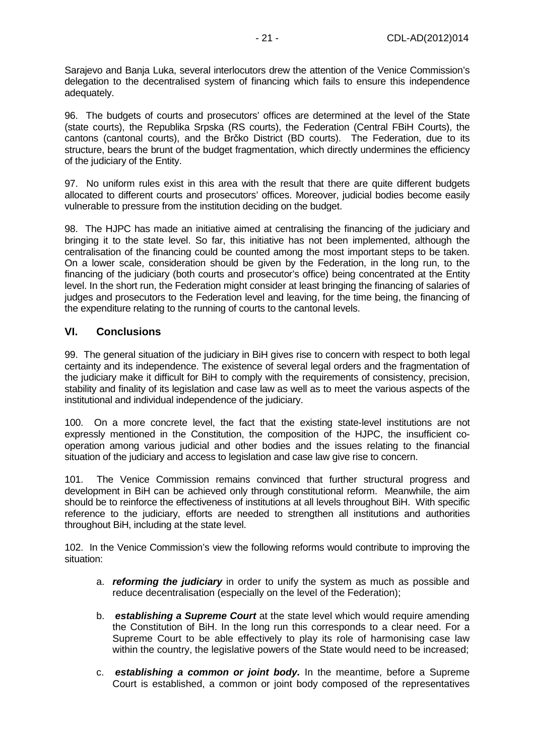Sarajevo and Banja Luka, several interlocutors drew the attention of the Venice Commission's delegation to the decentralised system of financing which fails to ensure this independence adequately.

96. The budgets of courts and prosecutors' offices are determined at the level of the State (state courts), the Republika Srpska (RS courts), the Federation (Central FBiH Courts), the cantons (cantonal courts), and the Brčko District (BD courts). The Federation, due to its structure, bears the brunt of the budget fragmentation, which directly undermines the efficiency of the judiciary of the Entity.

97. No uniform rules exist in this area with the result that there are quite different budgets allocated to different courts and prosecutors' offices. Moreover, judicial bodies become easily vulnerable to pressure from the institution deciding on the budget.

98. The HJPC has made an initiative aimed at centralising the financing of the judiciary and bringing it to the state level. So far, this initiative has not been implemented, although the centralisation of the financing could be counted among the most important steps to be taken. On a lower scale, consideration should be given by the Federation, in the long run, to the financing of the judiciary (both courts and prosecutor's office) being concentrated at the Entity level. In the short run, the Federation might consider at least bringing the financing of salaries of judges and prosecutors to the Federation level and leaving, for the time being, the financing of the expenditure relating to the running of courts to the cantonal levels.

## **VI. Conclusions**

99. The general situation of the judiciary in BiH gives rise to concern with respect to both legal certainty and its independence. The existence of several legal orders and the fragmentation of the judiciary make it difficult for BiH to comply with the requirements of consistency, precision, stability and finality of its legislation and case law as well as to meet the various aspects of the institutional and individual independence of the judiciary.

100. On a more concrete level, the fact that the existing state-level institutions are not expressly mentioned in the Constitution, the composition of the HJPC, the insufficient cooperation among various judicial and other bodies and the issues relating to the financial situation of the judiciary and access to legislation and case law give rise to concern.

101. The Venice Commission remains convinced that further structural progress and development in BiH can be achieved only through constitutional reform. Meanwhile, the aim should be to reinforce the effectiveness of institutions at all levels throughout BiH. With specific reference to the judiciary, efforts are needed to strengthen all institutions and authorities throughout BiH, including at the state level.

102. In the Venice Commission's view the following reforms would contribute to improving the situation:

- a. **reforming the judiciary** in order to unify the system as much as possible and reduce decentralisation (especially on the level of the Federation);
- b. **establishing a Supreme Court** at the state level which would require amending the Constitution of BiH. In the long run this corresponds to a clear need. For a Supreme Court to be able effectively to play its role of harmonising case law within the country, the legislative powers of the State would need to be increased;
- c. **establishing a common or joint body.** In the meantime, before a Supreme Court is established, a common or joint body composed of the representatives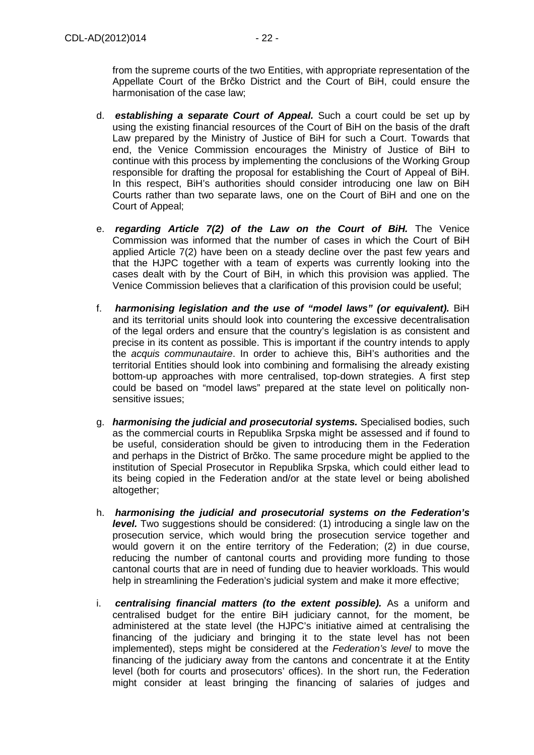from the supreme courts of the two Entities, with appropriate representation of the Appellate Court of the Brčko District and the Court of BiH, could ensure the harmonisation of the case law;

- d. **establishing a separate Court of Appeal.** Such a court could be set up by using the existing financial resources of the Court of BiH on the basis of the draft Law prepared by the Ministry of Justice of BiH for such a Court. Towards that end, the Venice Commission encourages the Ministry of Justice of BiH to continue with this process by implementing the conclusions of the Working Group responsible for drafting the proposal for establishing the Court of Appeal of BiH. In this respect, BiH's authorities should consider introducing one law on BiH Courts rather than two separate laws, one on the Court of BiH and one on the Court of Appeal;
- e. **regarding Article 7(2) of the Law on the Court of BiH.** The Venice Commission was informed that the number of cases in which the Court of BiH applied Article 7(2) have been on a steady decline over the past few years and that the HJPC together with a team of experts was currently looking into the cases dealt with by the Court of BiH, in which this provision was applied. The Venice Commission believes that a clarification of this provision could be useful;
- f. **harmonising legislation and the use of "model laws" (or equivalent).** BiH and its territorial units should look into countering the excessive decentralisation of the legal orders and ensure that the country's legislation is as consistent and precise in its content as possible. This is important if the country intends to apply the acquis communautaire. In order to achieve this, BiH's authorities and the territorial Entities should look into combining and formalising the already existing bottom-up approaches with more centralised, top-down strategies. A first step could be based on "model laws" prepared at the state level on politically nonsensitive issues;
- g. **harmonising the judicial and prosecutorial systems.** Specialised bodies, such as the commercial courts in Republika Srpska might be assessed and if found to be useful, consideration should be given to introducing them in the Federation and perhaps in the District of Brčko. The same procedure might be applied to the institution of Special Prosecutor in Republika Srpska, which could either lead to its being copied in the Federation and/or at the state level or being abolished altogether;
- h. **harmonising the judicial and prosecutorial systems on the Federation's level.** Two suggestions should be considered: (1) introducing a single law on the prosecution service, which would bring the prosecution service together and would govern it on the entire territory of the Federation; (2) in due course, reducing the number of cantonal courts and providing more funding to those cantonal courts that are in need of funding due to heavier workloads. This would help in streamlining the Federation's judicial system and make it more effective;
- i. **centralising financial matters (to the extent possible).** As a uniform and centralised budget for the entire BiH judiciary cannot, for the moment, be administered at the state level (the HJPC's initiative aimed at centralising the financing of the judiciary and bringing it to the state level has not been implemented), steps might be considered at the Federation's level to move the financing of the judiciary away from the cantons and concentrate it at the Entity level (both for courts and prosecutors' offices). In the short run, the Federation might consider at least bringing the financing of salaries of judges and